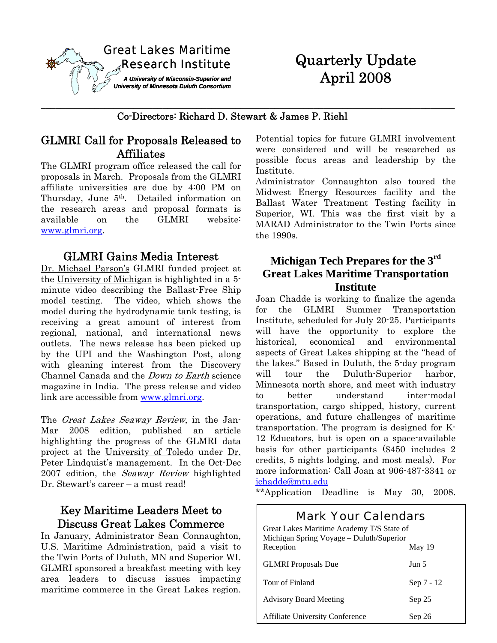

# Quarterly Update April 2008

#### Co-Directors: Richard D. Stewart & James P. Riehl

**\_\_\_\_\_\_\_\_\_\_\_\_\_\_\_\_\_\_\_\_\_\_\_\_\_\_\_\_\_\_\_\_\_\_\_\_\_\_\_\_\_\_\_\_\_\_\_\_\_\_\_\_\_\_\_\_\_\_\_\_\_\_\_\_\_\_\_\_\_\_\_\_\_\_\_\_\_\_\_\_\_\_\_\_\_** 

# GLMRI Call for Proposals Released to Affiliates

The GLMRI program office released the call for proposals in March. Proposals from the GLMRI affiliate universities are due by 4:00 PM on Thursday, June 5<sup>th</sup>. Detailed information on the research areas and proposal formats is available on the GLMRI website: www.glmri.org.

#### GLMRI Gains Media Interest

Dr. Michael Parson's GLMRI funded project at the University of Michigan is highlighted in a 5 minute video describing the Ballast-Free Ship model testing. The video, which shows the model during the hydrodynamic tank testing, is receiving a great amount of interest from regional, national, and international news outlets. The news release has been picked up by the UPI and the Washington Post, along with gleaning interest from the Discovery Channel Canada and the Down to Earth science magazine in India. The press release and video link are accessible from www.glmri.org.

The *Great Lakes Seaway Review*, in the Jan-Mar 2008 edition, published an article highlighting the progress of the GLMRI data project at the University of Toledo under Dr. Peter Lindquist's management. In the Oct-Dec 2007 edition, the Seaway Review highlighted Dr. Stewart's career – a must read!

# Key Maritime Leaders Meet to Discuss Great Lakes Commerce

In January, Administrator Sean Connaughton, U.S. Maritime Administration, paid a visit to the Twin Ports of Duluth, MN and Superior WI. GLMRI sponsored a breakfast meeting with key area leaders to discuss issues impacting maritime commerce in the Great Lakes region.

Potential topics for future GLMRI involvement were considered and will be researched as possible focus areas and leadership by the Institute.

Administrator Connaughton also toured the Midwest Energy Resources facility and the Ballast Water Treatment Testing facility in Superior, WI. This was the first visit by a MARAD Administrator to the Twin Ports since the 1990s.

#### **Michigan Tech Prepares for the 3rd Great Lakes Maritime Transportation Institute**

Joan Chadde is working to finalize the agenda for the GLMRI Summer Transportation Institute, scheduled for July 20-25. Participants will have the opportunity to explore the historical, economical and environmental aspects of Great Lakes shipping at the "head of the lakes." Based in Duluth, the 5-day program will tour the Duluth-Superior harbor, Minnesota north shore, and meet with industry to better understand inter-modal transportation, cargo shipped, history, current operations, and future challenges of maritime transportation. The program is designed for K-12 Educators, but is open on a space-available basis for other participants (\$450 includes 2 credits, 5 nights lodging, and most meals). For more information: Call Joan at 906-487-3341 or jchadde@mtu.edu

\*\*Application Deadline is May 30, 2008.

# Mark Your Calendars

| Great Lakes Maritime Academy T/S State of<br>Michigan Spring Voyage - Duluth/Superior |            |
|---------------------------------------------------------------------------------------|------------|
| Reception                                                                             | May 19     |
| <b>GLMRI</b> Proposals Due                                                            | Jun 5      |
| Tour of Finland                                                                       | Sep 7 - 12 |
| <b>Advisory Board Meeting</b>                                                         | Sep 25     |
| <b>Affiliate University Conference</b>                                                | Sep 26     |